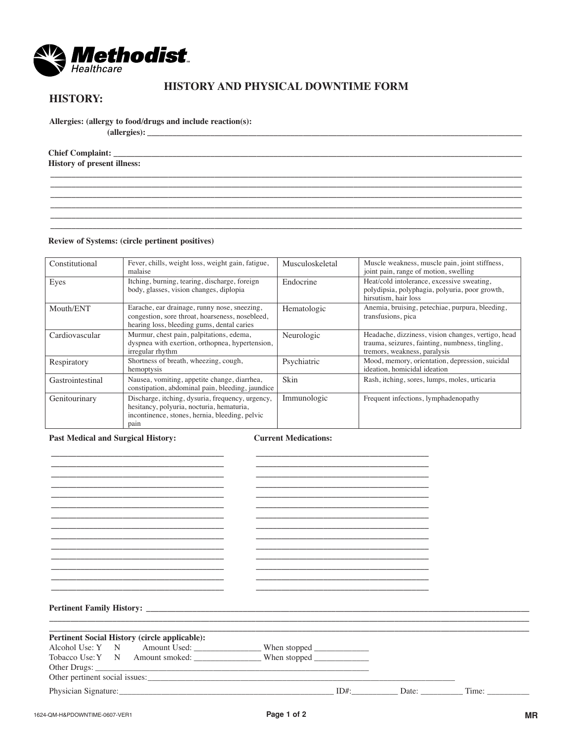

## **HISTORY AND PHYSICAL DOWNTIME FORM**

**\_\_\_\_\_\_\_\_\_\_\_\_\_\_\_\_\_\_\_\_\_\_\_\_\_\_\_\_\_\_\_\_\_\_\_\_\_\_\_\_\_\_\_\_\_\_\_\_\_\_\_\_\_\_\_\_\_\_\_\_\_\_\_\_\_\_\_\_\_\_\_\_\_\_\_\_\_\_\_\_\_\_\_\_\_\_\_\_\_\_\_\_\_\_\_\_\_\_\_\_\_\_\_\_\_\_\_\_\_\_\_\_ \_\_\_\_\_\_\_\_\_\_\_\_\_\_\_\_\_\_\_\_\_\_\_\_\_\_\_\_\_\_\_\_\_\_\_\_\_\_\_\_\_\_\_\_\_\_\_\_\_\_\_\_\_\_\_\_\_\_\_\_\_\_\_\_\_\_\_\_\_\_\_\_\_\_\_\_\_\_\_\_\_\_\_\_\_\_\_\_\_\_\_\_\_\_\_\_\_\_\_\_\_\_\_\_\_\_\_\_\_\_\_\_ \_\_\_\_\_\_\_\_\_\_\_\_\_\_\_\_\_\_\_\_\_\_\_\_\_\_\_\_\_\_\_\_\_\_\_\_\_\_\_\_\_\_\_\_\_\_\_\_\_\_\_\_\_\_\_\_\_\_\_\_\_\_\_\_\_\_\_\_\_\_\_\_\_\_\_\_\_\_\_\_\_\_\_\_\_\_\_\_\_\_\_\_\_\_\_\_\_\_\_\_\_\_\_\_\_\_\_\_\_\_\_\_ \_\_\_\_\_\_\_\_\_\_\_\_\_\_\_\_\_\_\_\_\_\_\_\_\_\_\_\_\_\_\_\_\_\_\_\_\_\_\_\_\_\_\_\_\_\_\_\_\_\_\_\_\_\_\_\_\_\_\_\_\_\_\_\_\_\_\_\_\_\_\_\_\_\_\_\_\_\_\_\_\_\_\_\_\_\_\_\_\_\_\_\_\_\_\_\_\_\_\_\_\_\_\_\_\_\_\_\_\_\_\_\_ \_\_\_\_\_\_\_\_\_\_\_\_\_\_\_\_\_\_\_\_\_\_\_\_\_\_\_\_\_\_\_\_\_\_\_\_\_\_\_\_\_\_\_\_\_\_\_\_\_\_\_\_\_\_\_\_\_\_\_\_\_\_\_\_\_\_\_\_\_\_\_\_\_\_\_\_\_\_\_\_\_\_\_\_\_\_\_\_\_\_\_\_\_\_\_\_\_\_\_\_\_\_\_\_\_\_\_\_\_\_\_\_ \_\_\_\_\_\_\_\_\_\_\_\_\_\_\_\_\_\_\_\_\_\_\_\_\_\_\_\_\_\_\_\_\_\_\_\_\_\_\_\_\_\_\_\_\_\_\_\_\_\_\_\_\_\_\_\_\_\_\_\_\_\_\_\_\_\_\_\_\_\_\_\_\_\_\_\_\_\_\_\_\_\_\_\_\_\_\_\_\_\_\_\_\_\_\_\_\_\_\_\_\_\_\_\_\_\_\_\_\_\_\_\_**

# **HISTORY:**

**Allergies: (allergy to food/drugs and include reaction(s):**

**(allergies): \_\_\_\_\_\_\_\_\_\_\_\_\_\_\_\_\_\_\_\_\_\_\_\_\_\_\_\_\_\_\_\_\_\_\_\_\_\_\_\_\_\_\_\_\_\_\_\_\_\_\_\_\_\_\_\_\_\_\_\_\_\_\_\_\_\_\_\_\_\_\_\_\_\_\_\_\_\_\_\_\_\_\_\_\_\_\_\_\_**

**Chief Complaint: \_\_\_\_\_\_\_\_\_\_\_\_\_\_\_\_\_\_\_\_\_\_\_\_\_\_\_\_\_\_\_\_\_\_\_\_\_\_\_\_\_\_\_\_\_\_\_\_\_\_\_\_\_\_\_\_\_\_\_\_\_\_\_\_\_\_\_\_\_\_\_\_\_\_\_\_\_\_\_\_\_\_\_\_\_\_\_\_\_\_\_\_\_\_\_\_\_ History of present illness:**

#### **Review of Systems: (circle pertinent positives)**

| Constitutional   | Fever, chills, weight loss, weight gain, fatigue,<br>malaise                                                                                            | Musculoskeletal | Muscle weakness, muscle pain, joint stiffness,<br>joint pain, range of motion, swelling                                               |
|------------------|---------------------------------------------------------------------------------------------------------------------------------------------------------|-----------------|---------------------------------------------------------------------------------------------------------------------------------------|
| Eyes             | Itching, burning, tearing, discharge, foreign<br>body, glasses, vision changes, diplopia                                                                | Endocrine       | Heat/cold intolerance, excessive sweating,<br>polydipsia, polyphagia, polyuria, poor growth,<br>hirsutism, hair loss                  |
| Mouth/ENT        | Earache, ear drainage, runny nose, sneezing,<br>congestion, sore throat, hoarseness, nosebleed,<br>hearing loss, bleeding gums, dental caries           | Hematologic     | Anemia, bruising, petechiae, purpura, bleeding,<br>transfusions, pica                                                                 |
| Cardiovascular   | Murmur, chest pain, palpitations, edema,<br>dyspnea with exertion, orthopnea, hypertension,<br>irregular rhythm                                         | Neurologic      | Headache, dizziness, vision changes, vertigo, head<br>trauma, seizures, fainting, numbness, tingling,<br>tremors, weakness, paralysis |
| Respiratory      | Shortness of breath, wheezing, cough,<br>hemoptysis                                                                                                     | Psychiatric     | Mood, memory, orientation, depression, suicidal<br>ideation, homicidal ideation                                                       |
| Gastrointestinal | Nausea, vomiting, appetite change, diarrhea,<br>constipation, abdominal pain, bleeding, jaundice                                                        | Skin            | Rash, itching, sores, lumps, moles, urticaria                                                                                         |
| Genitourinary    | Discharge, itching, dysuria, frequency, urgency,<br>hesitancy, polyuria, nocturia, hematuria,<br>incontinence, stones, hernia, bleeding, pelvic<br>pain | Immunologic     | Frequent infections, lymphadenopathy                                                                                                  |

#### **Past Medical and Surgical History:**

**Current Medications:**

| <b>Pertinent Family History:</b> New York 1988 and 1989 and 1989 and 1989 and 1989 and 1989 and 1989 and 1989 and 1989 and 1989 and 1989 and 1989 and 1989 and 1989 and 1989 and 1989 and 1989 and 1989 and 1989 and 1989 and 1989 |  |  |
|------------------------------------------------------------------------------------------------------------------------------------------------------------------------------------------------------------------------------------|--|--|
|                                                                                                                                                                                                                                    |  |  |
|                                                                                                                                                                                                                                    |  |  |
| <b>Pertinent Social History (circle applicable):</b>                                                                                                                                                                               |  |  |
| Alcohol Use: Y N Amount Used: _________________When stopped _____________________                                                                                                                                                  |  |  |
|                                                                                                                                                                                                                                    |  |  |
|                                                                                                                                                                                                                                    |  |  |
|                                                                                                                                                                                                                                    |  |  |
|                                                                                                                                                                                                                                    |  |  |
|                                                                                                                                                                                                                                    |  |  |
|                                                                                                                                                                                                                                    |  |  |
|                                                                                                                                                                                                                                    |  |  |